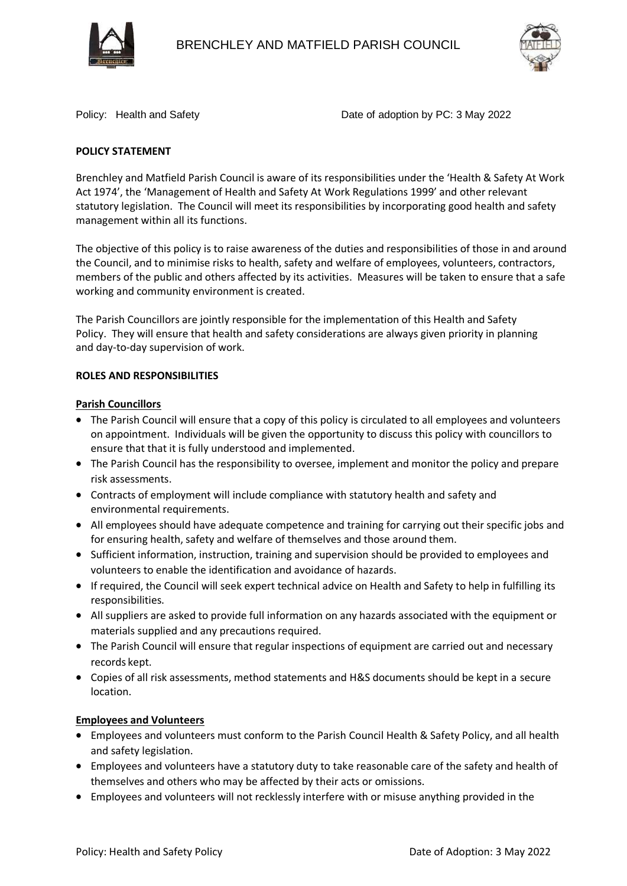



Policy: Health and Safety **Date of adoption by PC: 3 May 2022** 

# **POLICY STATEMENT**

Brenchley and Matfield Parish Council is aware of its responsibilities under the 'Health & Safety At Work Act 1974', the 'Management of Health and Safety At Work Regulations 1999' and other relevant statutory legislation. The Council will meet its responsibilities by incorporating good health and safety management within all its functions.

The objective of this policy is to raise awareness of the duties and responsibilities of those in and around the Council, and to minimise risks to health, safety and welfare of employees, volunteers, contractors, members of the public and others affected by its activities. Measures will be taken to ensure that a safe working and community environment is created.

The Parish Councillors are jointly responsible for the implementation of this Health and Safety Policy. They will ensure that health and safety considerations are always given priority in planning and day-to-day supervision of work.

## **ROLES AND RESPONSIBILITIES**

## **Parish Councillors**

- The Parish Council will ensure that a copy of this policy is circulated to all employees and volunteers on appointment. Individuals will be given the opportunity to discuss this policy with councillors to ensure that that it is fully understood and implemented.
- The Parish Council has the responsibility to oversee, implement and monitor the policy and prepare risk assessments.
- Contracts of employment will include compliance with statutory health and safety and environmental requirements.
- All employees should have adequate competence and training for carrying out their specific jobs and for ensuring health, safety and welfare of themselves and those around them.
- Sufficient information, instruction, training and supervision should be provided to employees and volunteers to enable the identification and avoidance of hazards.
- If required, the Council will seek expert technical advice on Health and Safety to help in fulfilling its responsibilities.
- All suppliers are asked to provide full information on any hazards associated with the equipment or materials supplied and any precautions required.
- The Parish Council will ensure that regular inspections of equipment are carried out and necessary records kept.
- Copies of all risk assessments, method statements and H&S documents should be kept in a secure location.

## **Employees and Volunteers**

- Employees and volunteers must conform to the Parish Council Health & Safety Policy, and all health and safety legislation.
- Employees and volunteers have a statutory duty to take reasonable care of the safety and health of themselves and others who may be affected by their acts or omissions.
- Employees and volunteers will not recklessly interfere with or misuse anything provided in the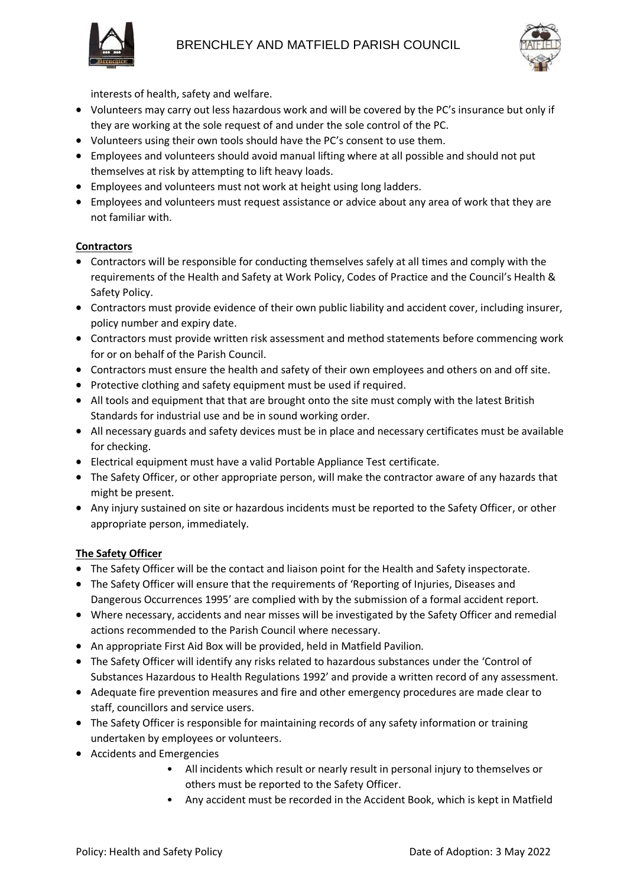



interests of health, safety and welfare.

- Volunteers may carry out less hazardous work and will be covered by the PC's insurance but only if they are working at the sole request of and under the sole control of the PC.
- Volunteers using their own tools should have the PC's consent to use them.
- Employees and volunteers should avoid manual lifting where at all possible and should not put themselves at risk by attempting to lift heavy loads.
- Employees and volunteers must not work at height using long ladders.
- Employees and volunteers must request assistance or advice about any area of work that they are not familiar with.

## **Contractors**

- Contractors will be responsible for conducting themselves safely at all times and comply with the requirements of the Health and Safety at Work Policy, Codes of Practice and the Council's Health & Safety Policy.
- Contractors must provide evidence of their own public liability and accident cover, including insurer, policy number and expiry date.
- Contractors must provide written risk assessment and method statements before commencing work for or on behalf of the Parish Council.
- Contractors must ensure the health and safety of their own employees and others on and off site.
- Protective clothing and safety equipment must be used if required.
- All tools and equipment that that are brought onto the site must comply with the latest British Standards for industrial use and be in sound working order.
- All necessary guards and safety devices must be in place and necessary certificates must be available for checking.
- Electrical equipment must have a valid Portable Appliance Test certificate.
- The Safety Officer, or other appropriate person, will make the contractor aware of any hazards that might be present.
- Any injury sustained on site or hazardous incidents must be reported to the Safety Officer, or other appropriate person, immediately.

## **The Safety Officer**

- The Safety Officer will be the contact and liaison point for the Health and Safety inspectorate.
- The Safety Officer will ensure that the requirements of 'Reporting of Injuries, Diseases and Dangerous Occurrences 1995' are complied with by the submission of a formal accident report.
- Where necessary, accidents and near misses will be investigated by the Safety Officer and remedial actions recommended to the Parish Council where necessary.
- An appropriate First Aid Box will be provided, held in Matfield Pavilion.
- The Safety Officer will identify any risks related to hazardous substances under the 'Control of Substances Hazardous to Health Regulations 1992' and provide a written record of any assessment.
- Adequate fire prevention measures and fire and other emergency procedures are made clear to staff, councillors and service users.
- The Safety Officer is responsible for maintaining records of any safety information or training undertaken by employees or volunteers.
- Accidents and Emergencies
	- All incidents which result or nearly result in personal injury to themselves or others must be reported to the Safety Officer.
	- Any accident must be recorded in the Accident Book, which is kept in Matfield